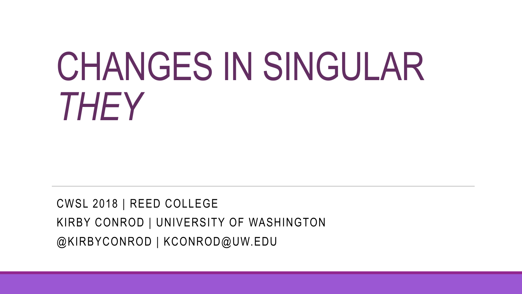# CHANGES IN SINGULAR *THEY*

CWSL 2018 | REED COLLEGE KIRBY CONROD | UNIVERSITY OF WASHINGTON @KIRBYCONROD | KCONROD@UW.EDU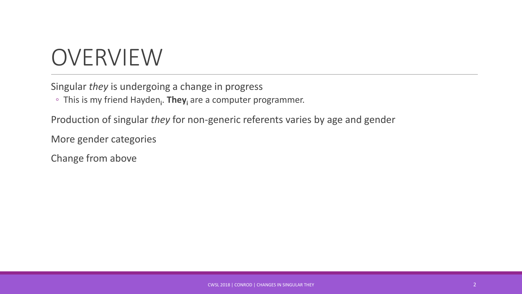#### OVERVIEW

Singular *they* is undergoing a change in progress

◦ This is my friend Hayden**<sup>i</sup>** . **They<sup>i</sup>** are a computer programmer.

Production of singular *they* for non-generic referents varies by age and gender

More gender categories

Change from above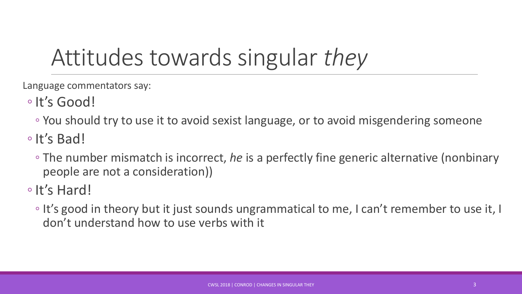## Attitudes towards singular *they*

Language commentators say:

- ◦It's Good!
	- You should try to use it to avoid sexist language, or to avoid misgendering someone
- ◦It's Bad!
	- The number mismatch is incorrect, *he* is a perfectly fine generic alternative (nonbinary people are not a consideration))

◦It's Hard!

◦ It's good in theory but it just sounds ungrammatical to me, I can't remember to use it, I don't understand how to use verbs with it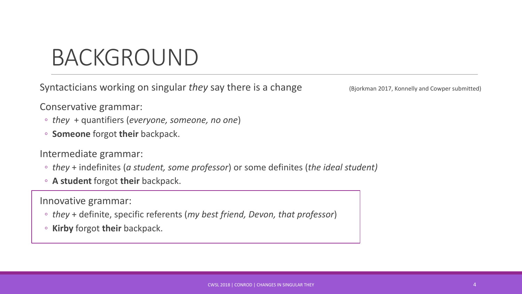#### BACKGROUND

Syntacticians working on singular *they* say there is a change (Bjorkman 2017, Konnelly and Cowper submitted)

Conservative grammar:

- *they* + quantifiers (*everyone, someone, no one*)
- **Someone** forgot **their** backpack.

Intermediate grammar:

- *they* + indefinites (*a student, some professor*) or some definites (*the ideal student)*
- **A student** forgot **their** backpack.

Innovative grammar:

- *they* + definite, specific referents (*my best friend, Devon, that professor*)
- **Kirby** forgot **their** backpack.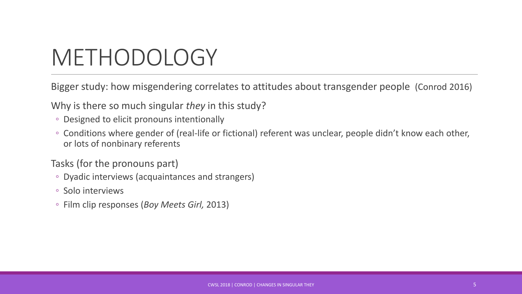## METHODOLOGY

Bigger study: how misgendering correlates to attitudes about transgender people (Conrod 2016)

Why is there so much singular *they* in this study?

- Designed to elicit pronouns intentionally
- Conditions where gender of (real-life or fictional) referent was unclear, people didn't know each other, or lots of nonbinary referents

Tasks (for the pronouns part)

- Dyadic interviews (acquaintances and strangers)
- Solo interviews
- Film clip responses (*Boy Meets Girl,* 2013)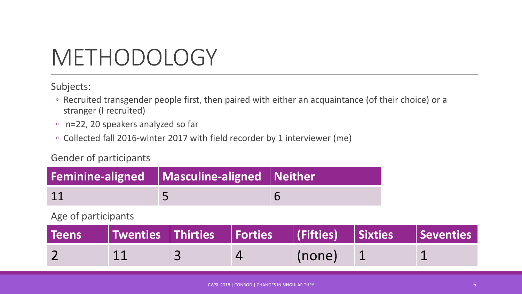### METHODOLOGY

Subjects:

- Recruited transgender people first, then paired with either an acquaintance (of their choice) or a stranger (I recruited)
- n=22, 20 speakers analyzed so far
- Collected fall 2016-winter 2017 with field recorder by 1 interviewer (me)

#### Gender of participants

| Feminine-aligned $\parallel$ Masculine-aligned Neither |  |
|--------------------------------------------------------|--|
|                                                        |  |

#### Age of participants

|  | Teens $\qquad$   Twenties $\mid$ Thirties $\mid$ Forties $\mid$ (Fifties) $\mid$ Sixties $\mid$ Seventies |        |  |
|--|-----------------------------------------------------------------------------------------------------------|--------|--|
|  |                                                                                                           | (none) |  |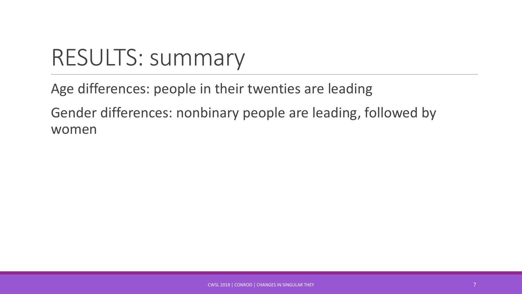## RESULTS: summary

Age differences: people in their twenties are leading

Gender differences: nonbinary people are leading, followed by women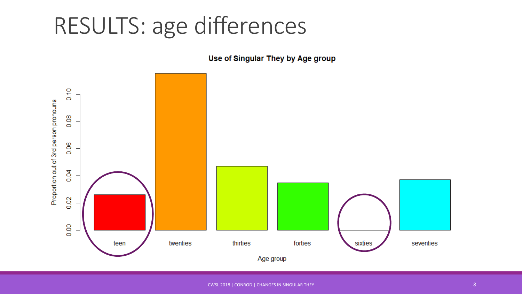#### RESULTS: age differences

Use of Singular They by Age group

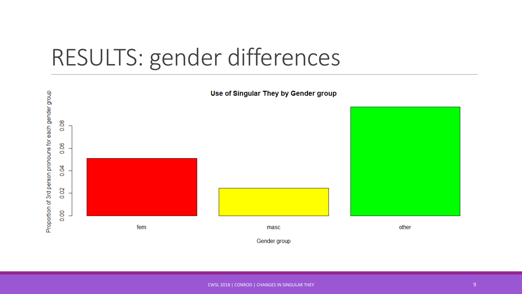#### RESULTS: gender differences

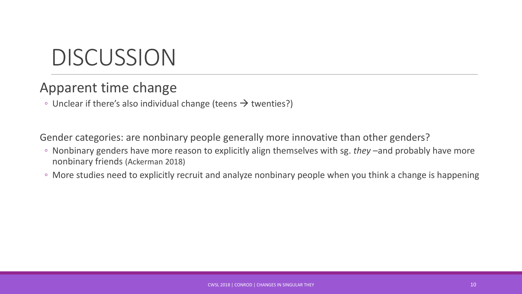### DISCUSSION

#### Apparent time change

◦ Unclear if there's also individual change (teens  $\rightarrow$  twenties?)

Gender categories: are nonbinary people generally more innovative than other genders?

- Nonbinary genders have more reason to explicitly align themselves with sg. *they* –and probably have more nonbinary friends (Ackerman 2018)
- More studies need to explicitly recruit and analyze nonbinary people when you think a change is happening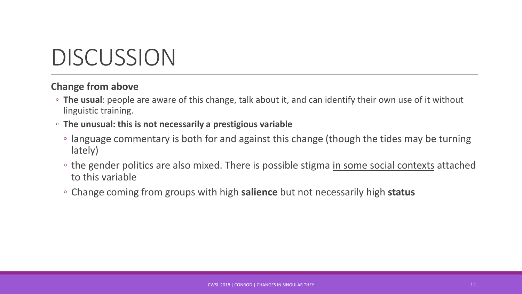#### DISCUSSION

#### **Change from above**

- **The usual**: people are aware of this change, talk about it, and can identify their own use of it without linguistic training.
- **The unusual: this is not necessarily a prestigious variable**
	- language commentary is both for and against this change (though the tides may be turning lately)
	- the gender politics are also mixed. There is possible stigma in some social contexts attached to this variable
	- Change coming from groups with high **salience** but not necessarily high **status**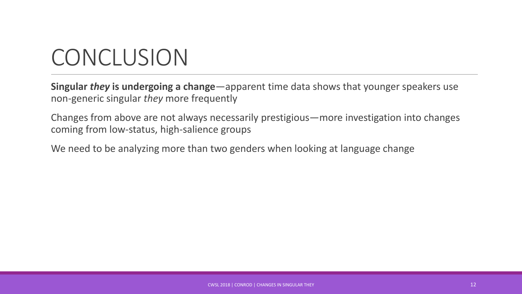### **CONCLUSION**

**Singular** *they* **is undergoing a change**—apparent time data shows that younger speakers use non-generic singular *they* more frequently

Changes from above are not always necessarily prestigious—more investigation into changes coming from low-status, high-salience groups

We need to be analyzing more than two genders when looking at language change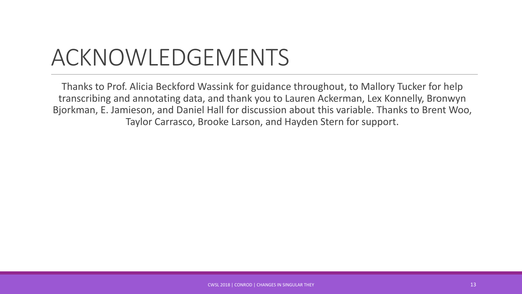### ACKNOWLEDGEMENTS

Thanks to Prof. Alicia Beckford Wassink for guidance throughout, to Mallory Tucker for help transcribing and annotating data, and thank you to Lauren Ackerman, Lex Konnelly, Bronwyn Bjorkman, E. Jamieson, and Daniel Hall for discussion about this variable. Thanks to Brent Woo, Taylor Carrasco, Brooke Larson, and Hayden Stern for support.